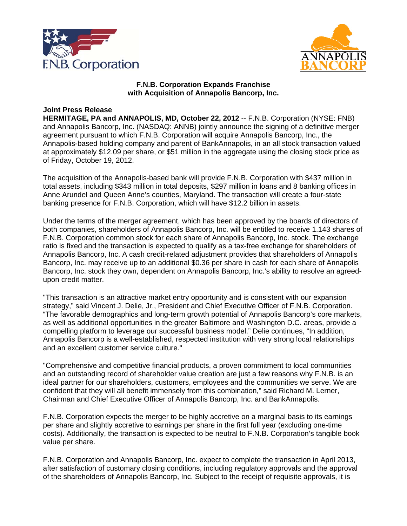



### **F.N.B. Corporation Expands Franchise with Acquisition of Annapolis Bancorp, Inc.**

# **Joint Press Release**

**HERMITAGE, PA and ANNAPOLIS, MD, October 22, 2012** -- F.N.B. Corporation (NYSE: FNB) and Annapolis Bancorp, Inc. (NASDAQ: ANNB) jointly announce the signing of a definitive merger agreement pursuant to which F.N.B. Corporation will acquire Annapolis Bancorp, Inc., the Annapolis-based holding company and parent of BankAnnapolis, in an all stock transaction valued at approximately \$12.09 per share, or \$51 million in the aggregate using the closing stock price as of Friday, October 19, 2012.

The acquisition of the Annapolis-based bank will provide F.N.B. Corporation with \$437 million in total assets, including \$343 million in total deposits, \$297 million in loans and 8 banking offices in Anne Arundel and Queen Anne's counties, Maryland. The transaction will create a four-state banking presence for F.N.B. Corporation, which will have \$12.2 billion in assets.

Under the terms of the merger agreement, which has been approved by the boards of directors of both companies, shareholders of Annapolis Bancorp, Inc. will be entitled to receive 1.143 shares of F.N.B. Corporation common stock for each share of Annapolis Bancorp, Inc. stock. The exchange ratio is fixed and the transaction is expected to qualify as a tax-free exchange for shareholders of Annapolis Bancorp, Inc. A cash credit-related adjustment provides that shareholders of Annapolis Bancorp, Inc. may receive up to an additional \$0.36 per share in cash for each share of Annapolis Bancorp, Inc. stock they own, dependent on Annapolis Bancorp, Inc.'s ability to resolve an agreedupon credit matter.

"This transaction is an attractive market entry opportunity and is consistent with our expansion strategy," said Vincent J. Delie, Jr., President and Chief Executive Officer of F.N.B. Corporation. "The favorable demographics and long-term growth potential of Annapolis Bancorp's core markets, as well as additional opportunities in the greater Baltimore and Washington D.C. areas, provide a compelling platform to leverage our successful business model." Delie continues, "In addition, Annapolis Bancorp is a well-established, respected institution with very strong local relationships and an excellent customer service culture."

"Comprehensive and competitive financial products, a proven commitment to local communities and an outstanding record of shareholder value creation are just a few reasons why F.N.B. is an ideal partner for our shareholders, customers, employees and the communities we serve. We are confident that they will all benefit immensely from this combination," said Richard M. Lerner, Chairman and Chief Executive Officer of Annapolis Bancorp, Inc. and BankAnnapolis.

F.N.B. Corporation expects the merger to be highly accretive on a marginal basis to its earnings per share and slightly accretive to earnings per share in the first full year (excluding one-time costs). Additionally, the transaction is expected to be neutral to F.N.B. Corporation's tangible book value per share.

F.N.B. Corporation and Annapolis Bancorp, Inc. expect to complete the transaction in April 2013, after satisfaction of customary closing conditions, including regulatory approvals and the approval of the shareholders of Annapolis Bancorp, Inc. Subject to the receipt of requisite approvals, it is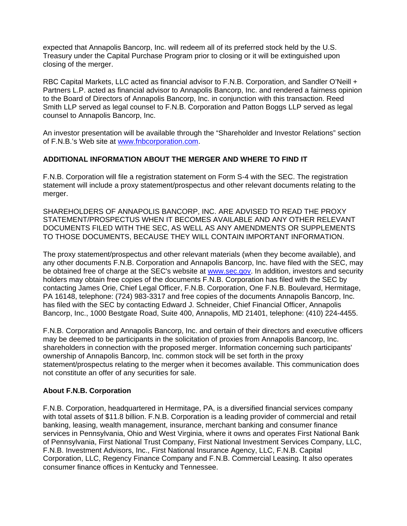expected that Annapolis Bancorp, Inc. will redeem all of its preferred stock held by the U.S. Treasury under the Capital Purchase Program prior to closing or it will be extinguished upon closing of the merger.

RBC Capital Markets, LLC acted as financial advisor to F.N.B. Corporation, and Sandler O'Neill + Partners L.P. acted as financial advisor to Annapolis Bancorp, Inc. and rendered a fairness opinion to the Board of Directors of Annapolis Bancorp, Inc. in conjunction with this transaction. Reed Smith LLP served as legal counsel to F.N.B. Corporation and Patton Boggs LLP served as legal counsel to Annapolis Bancorp, Inc.

An investor presentation will be available through the "Shareholder and Investor Relations" section of F.N.B.'s Web site at www.fnbcorporation.com.

## **ADDITIONAL INFORMATION ABOUT THE MERGER AND WHERE TO FIND IT**

F.N.B. Corporation will file a registration statement on Form S-4 with the SEC. The registration statement will include a proxy statement/prospectus and other relevant documents relating to the merger.

SHAREHOLDERS OF ANNAPOLIS BANCORP, INC. ARE ADVISED TO READ THE PROXY STATEMENT/PROSPECTUS WHEN IT BECOMES AVAILABLE AND ANY OTHER RELEVANT DOCUMENTS FILED WITH THE SEC, AS WELL AS ANY AMENDMENTS OR SUPPLEMENTS TO THOSE DOCUMENTS, BECAUSE THEY WILL CONTAIN IMPORTANT INFORMATION.

The proxy statement/prospectus and other relevant materials (when they become available), and any other documents F.N.B. Corporation and Annapolis Bancorp, Inc. have filed with the SEC, may be obtained free of charge at the SEC's website at www.sec.gov. In addition, investors and security holders may obtain free copies of the documents F.N.B. Corporation has filed with the SEC by contacting James Orie, Chief Legal Officer, F.N.B. Corporation, One F.N.B. Boulevard, Hermitage, PA 16148, telephone: (724) 983-3317 and free copies of the documents Annapolis Bancorp, Inc. has filed with the SEC by contacting Edward J. Schneider, Chief Financial Officer, Annapolis Bancorp, Inc., 1000 Bestgate Road, Suite 400, Annapolis, MD 21401, telephone: (410) 224-4455.

F.N.B. Corporation and Annapolis Bancorp, Inc. and certain of their directors and executive officers may be deemed to be participants in the solicitation of proxies from Annapolis Bancorp, Inc. shareholders in connection with the proposed merger. Information concerning such participants' ownership of Annapolis Bancorp, Inc. common stock will be set forth in the proxy statement/prospectus relating to the merger when it becomes available. This communication does not constitute an offer of any securities for sale.

### **About F.N.B. Corporation**

F.N.B. Corporation, headquartered in Hermitage, PA, is a diversified financial services company with total assets of \$11.8 billion. F.N.B. Corporation is a leading provider of commercial and retail banking, leasing, wealth management, insurance, merchant banking and consumer finance services in Pennsylvania, Ohio and West Virginia, where it owns and operates First National Bank of Pennsylvania, First National Trust Company, First National Investment Services Company, LLC, F.N.B. Investment Advisors, Inc., First National Insurance Agency, LLC, F.N.B. Capital Corporation, LLC, Regency Finance Company and F.N.B. Commercial Leasing. It also operates consumer finance offices in Kentucky and Tennessee.